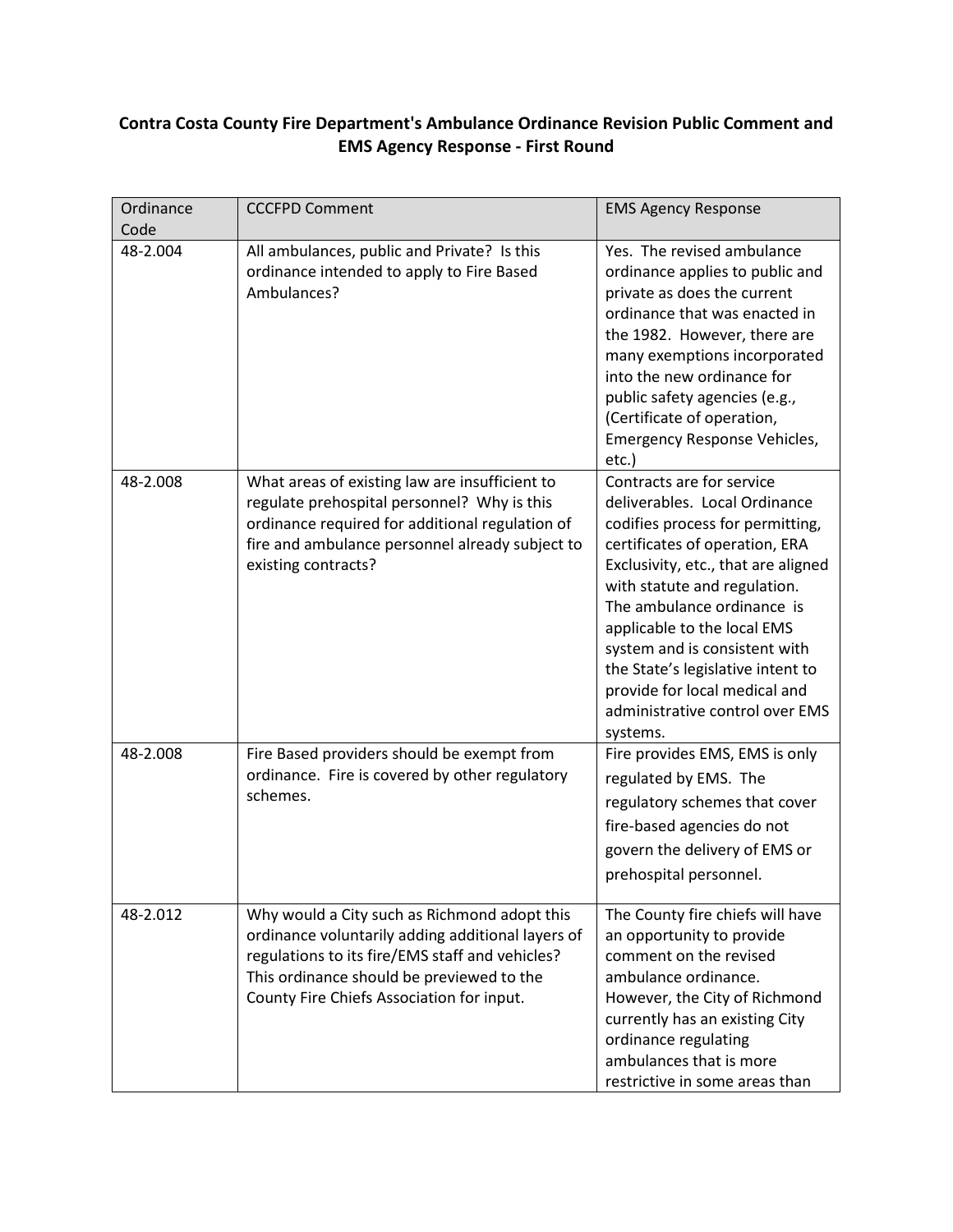## **Contra Costa County Fire Department's Ambulance Ordinance Revision Public Comment and EMS Agency Response - First Round**

| Ordinance<br>Code | <b>CCCFPD Comment</b>                                                                                                                                                                                                                          | <b>EMS Agency Response</b>                                                                                                                                                                                                                                                                                                                                                                                                 |
|-------------------|------------------------------------------------------------------------------------------------------------------------------------------------------------------------------------------------------------------------------------------------|----------------------------------------------------------------------------------------------------------------------------------------------------------------------------------------------------------------------------------------------------------------------------------------------------------------------------------------------------------------------------------------------------------------------------|
| 48-2.004          | All ambulances, public and Private? Is this<br>ordinance intended to apply to Fire Based<br>Ambulances?                                                                                                                                        | Yes. The revised ambulance<br>ordinance applies to public and<br>private as does the current<br>ordinance that was enacted in<br>the 1982. However, there are<br>many exemptions incorporated<br>into the new ordinance for<br>public safety agencies (e.g.,<br>(Certificate of operation,<br>Emergency Response Vehicles,<br>etc.)                                                                                        |
| 48-2.008          | What areas of existing law are insufficient to<br>regulate prehospital personnel? Why is this<br>ordinance required for additional regulation of<br>fire and ambulance personnel already subject to<br>existing contracts?                     | Contracts are for service<br>deliverables. Local Ordinance<br>codifies process for permitting,<br>certificates of operation, ERA<br>Exclusivity, etc., that are aligned<br>with statute and regulation.<br>The ambulance ordinance is<br>applicable to the local EMS<br>system and is consistent with<br>the State's legislative intent to<br>provide for local medical and<br>administrative control over EMS<br>systems. |
| 48-2.008          | Fire Based providers should be exempt from<br>ordinance. Fire is covered by other regulatory<br>schemes.                                                                                                                                       | Fire provides EMS, EMS is only<br>regulated by EMS. The<br>regulatory schemes that cover<br>fire-based agencies do not<br>govern the delivery of EMS or<br>prehospital personnel.                                                                                                                                                                                                                                          |
| 48-2.012          | Why would a City such as Richmond adopt this<br>ordinance voluntarily adding additional layers of<br>regulations to its fire/EMS staff and vehicles?<br>This ordinance should be previewed to the<br>County Fire Chiefs Association for input. | The County fire chiefs will have<br>an opportunity to provide<br>comment on the revised<br>ambulance ordinance.<br>However, the City of Richmond<br>currently has an existing City<br>ordinance regulating<br>ambulances that is more<br>restrictive in some areas than                                                                                                                                                    |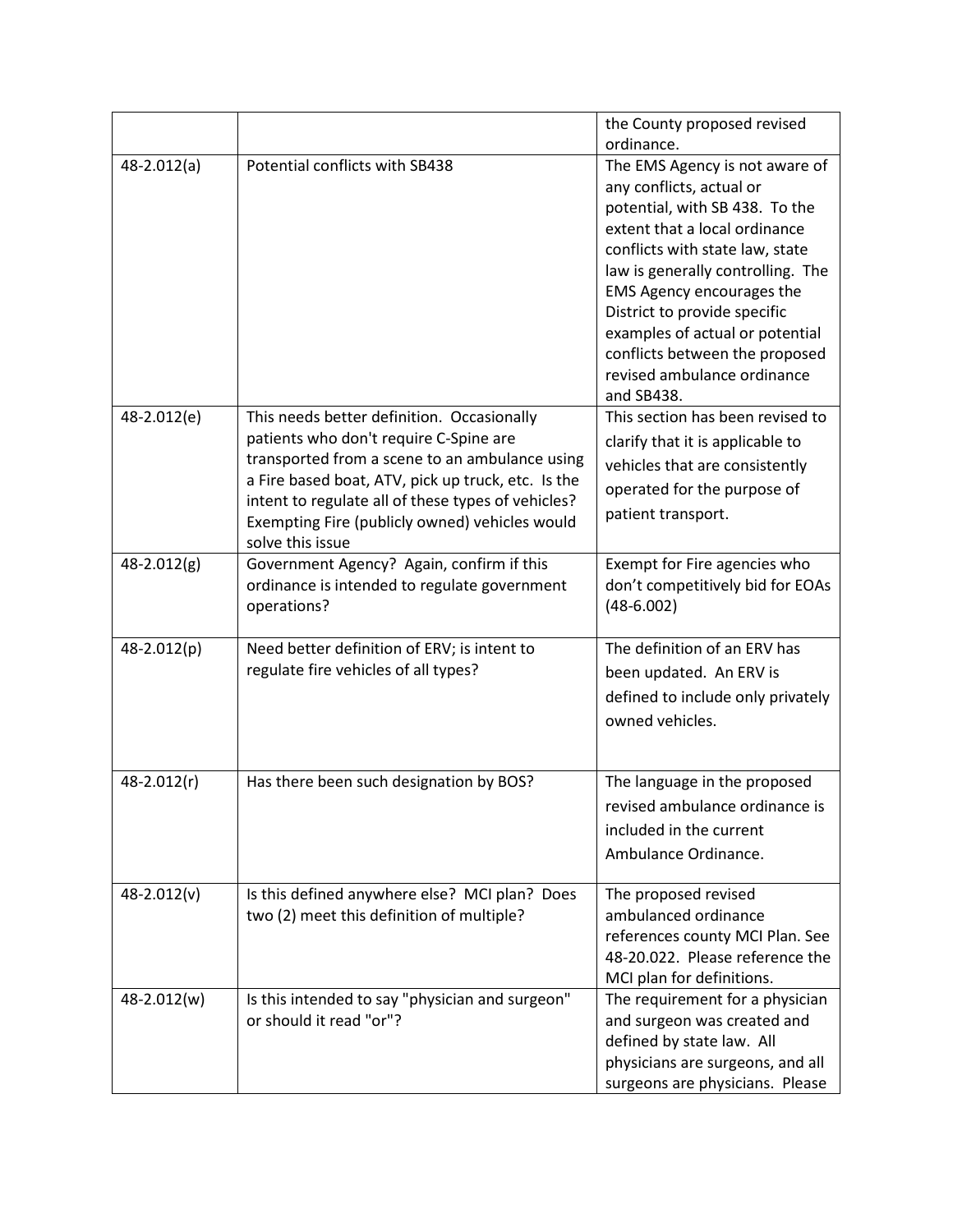|               |                                                    | the County proposed revised                                     |
|---------------|----------------------------------------------------|-----------------------------------------------------------------|
|               |                                                    | ordinance.                                                      |
| $48-2.012(a)$ | Potential conflicts with SB438                     | The EMS Agency is not aware of                                  |
|               |                                                    | any conflicts, actual or                                        |
|               |                                                    | potential, with SB 438. To the                                  |
|               |                                                    | extent that a local ordinance                                   |
|               |                                                    | conflicts with state law, state                                 |
|               |                                                    | law is generally controlling. The                               |
|               |                                                    | <b>EMS Agency encourages the</b>                                |
|               |                                                    | District to provide specific<br>examples of actual or potential |
|               |                                                    | conflicts between the proposed                                  |
|               |                                                    | revised ambulance ordinance                                     |
|               |                                                    | and SB438.                                                      |
| 48-2.012(e)   | This needs better definition. Occasionally         | This section has been revised to                                |
|               | patients who don't require C-Spine are             | clarify that it is applicable to                                |
|               | transported from a scene to an ambulance using     |                                                                 |
|               | a Fire based boat, ATV, pick up truck, etc. Is the | vehicles that are consistently                                  |
|               | intent to regulate all of these types of vehicles? | operated for the purpose of                                     |
|               | Exempting Fire (publicly owned) vehicles would     | patient transport.                                              |
|               | solve this issue                                   |                                                                 |
| 48-2.012(g)   | Government Agency? Again, confirm if this          | Exempt for Fire agencies who                                    |
|               | ordinance is intended to regulate government       | don't competitively bid for EOAs                                |
|               | operations?                                        | $(48-6.002)$                                                    |
|               |                                                    |                                                                 |
| 48-2.012(p)   | Need better definition of ERV; is intent to        | The definition of an ERV has                                    |
|               | regulate fire vehicles of all types?               | been updated. An ERV is                                         |
|               |                                                    | defined to include only privately                               |
|               |                                                    | owned vehicles.                                                 |
|               |                                                    |                                                                 |
| 48-2.012(r)   | Has there been such designation by BOS?            | The language in the proposed                                    |
|               |                                                    | revised ambulance ordinance is                                  |
|               |                                                    | included in the current                                         |
|               |                                                    |                                                                 |
|               |                                                    | Ambulance Ordinance.                                            |
| 48-2.012(v)   | Is this defined anywhere else? MCI plan? Does      | The proposed revised                                            |
|               | two (2) meet this definition of multiple?          | ambulanced ordinance                                            |
|               |                                                    | references county MCI Plan. See                                 |
|               |                                                    | 48-20.022. Please reference the                                 |
|               |                                                    | MCI plan for definitions.                                       |
| 48-2.012(w)   | Is this intended to say "physician and surgeon"    | The requirement for a physician                                 |
|               | or should it read "or"?                            | and surgeon was created and                                     |
|               |                                                    | defined by state law. All                                       |
|               |                                                    | physicians are surgeons, and all                                |
|               |                                                    | surgeons are physicians. Please                                 |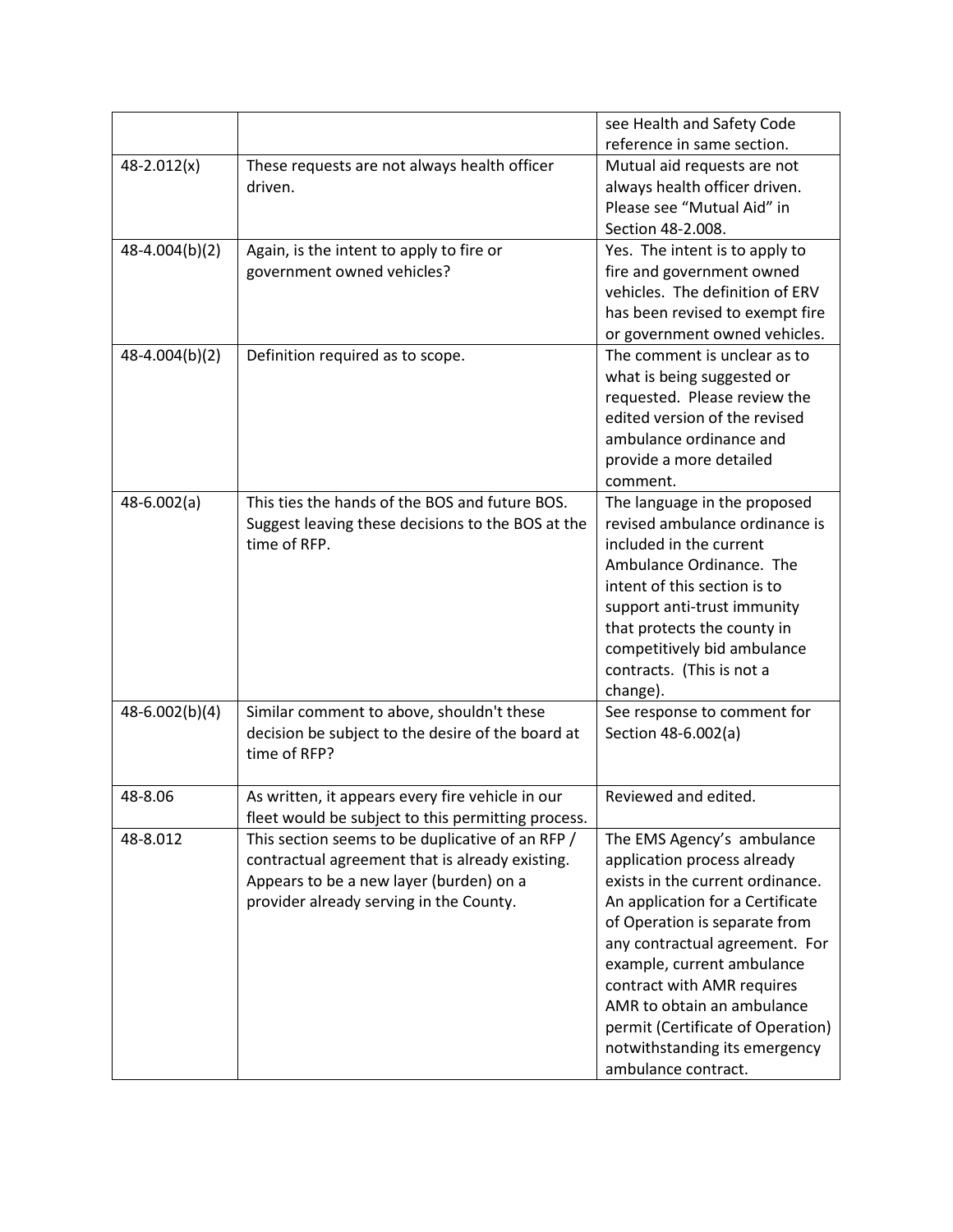|                 |                                                    | see Health and Safety Code        |
|-----------------|----------------------------------------------------|-----------------------------------|
|                 |                                                    | reference in same section.        |
| $48 - 2.012(x)$ | These requests are not always health officer       | Mutual aid requests are not       |
|                 | driven.                                            | always health officer driven.     |
|                 |                                                    | Please see "Mutual Aid" in        |
|                 |                                                    | Section 48-2.008.                 |
| 48-4.004(b)(2)  | Again, is the intent to apply to fire or           | Yes. The intent is to apply to    |
|                 | government owned vehicles?                         | fire and government owned         |
|                 |                                                    | vehicles. The definition of ERV   |
|                 |                                                    | has been revised to exempt fire   |
|                 |                                                    | or government owned vehicles.     |
| 48-4.004(b)(2)  | Definition required as to scope.                   | The comment is unclear as to      |
|                 |                                                    | what is being suggested or        |
|                 |                                                    | requested. Please review the      |
|                 |                                                    | edited version of the revised     |
|                 |                                                    | ambulance ordinance and           |
|                 |                                                    | provide a more detailed           |
|                 |                                                    | comment.                          |
| $48-6.002(a)$   | This ties the hands of the BOS and future BOS.     | The language in the proposed      |
|                 | Suggest leaving these decisions to the BOS at the  | revised ambulance ordinance is    |
|                 | time of RFP.                                       | included in the current           |
|                 |                                                    | Ambulance Ordinance. The          |
|                 |                                                    | intent of this section is to      |
|                 |                                                    | support anti-trust immunity       |
|                 |                                                    | that protects the county in       |
|                 |                                                    | competitively bid ambulance       |
|                 |                                                    | contracts. (This is not a         |
|                 |                                                    | change).                          |
| 48-6.002(b)(4)  | Similar comment to above, shouldn't these          | See response to comment for       |
|                 | decision be subject to the desire of the board at  | Section 48-6.002(a)               |
|                 | time of RFP?                                       |                                   |
|                 |                                                    |                                   |
| 48-8.06         | As written, it appears every fire vehicle in our   | Reviewed and edited.              |
|                 | fleet would be subject to this permitting process. |                                   |
| 48-8.012        | This section seems to be duplicative of an RFP /   | The EMS Agency's ambulance        |
|                 | contractual agreement that is already existing.    | application process already       |
|                 | Appears to be a new layer (burden) on a            | exists in the current ordinance.  |
|                 | provider already serving in the County.            | An application for a Certificate  |
|                 |                                                    | of Operation is separate from     |
|                 |                                                    | any contractual agreement. For    |
|                 |                                                    | example, current ambulance        |
|                 |                                                    | contract with AMR requires        |
|                 |                                                    | AMR to obtain an ambulance        |
|                 |                                                    | permit (Certificate of Operation) |
|                 |                                                    | notwithstanding its emergency     |
|                 |                                                    | ambulance contract.               |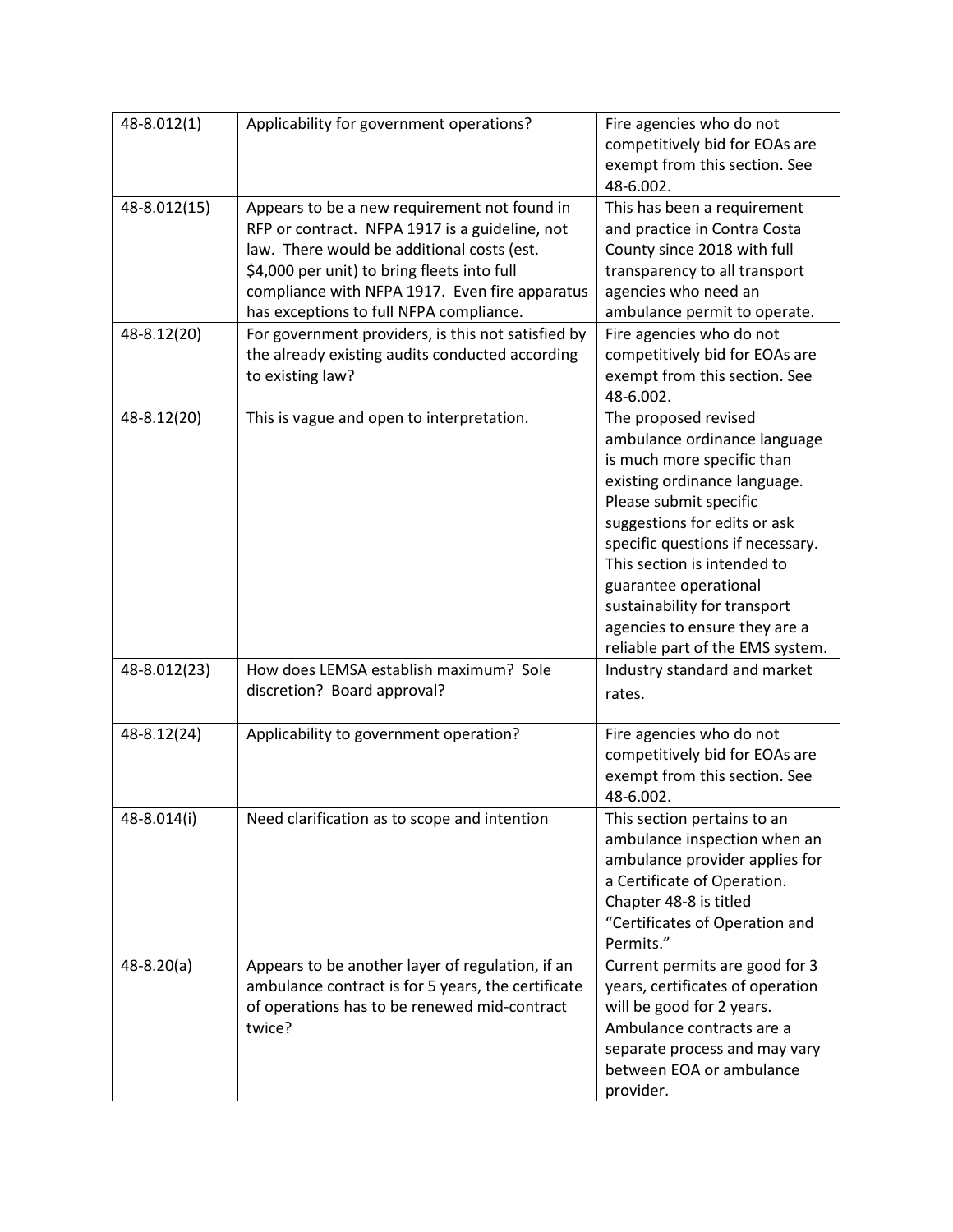| 48-8.012(1)    | Applicability for government operations?                                                                                                                                                                                                                                                 | Fire agencies who do not<br>competitively bid for EOAs are<br>exempt from this section. See<br>48-6.002.                                                                                                                                                                                                                                                                      |
|----------------|------------------------------------------------------------------------------------------------------------------------------------------------------------------------------------------------------------------------------------------------------------------------------------------|-------------------------------------------------------------------------------------------------------------------------------------------------------------------------------------------------------------------------------------------------------------------------------------------------------------------------------------------------------------------------------|
| 48-8.012(15)   | Appears to be a new requirement not found in<br>RFP or contract. NFPA 1917 is a guideline, not<br>law. There would be additional costs (est.<br>\$4,000 per unit) to bring fleets into full<br>compliance with NFPA 1917. Even fire apparatus<br>has exceptions to full NFPA compliance. | This has been a requirement<br>and practice in Contra Costa<br>County since 2018 with full<br>transparency to all transport<br>agencies who need an<br>ambulance permit to operate.                                                                                                                                                                                           |
| 48-8.12(20)    | For government providers, is this not satisfied by<br>the already existing audits conducted according<br>to existing law?                                                                                                                                                                | Fire agencies who do not<br>competitively bid for EOAs are<br>exempt from this section. See<br>48-6.002.                                                                                                                                                                                                                                                                      |
| 48-8.12(20)    | This is vague and open to interpretation.                                                                                                                                                                                                                                                | The proposed revised<br>ambulance ordinance language<br>is much more specific than<br>existing ordinance language.<br>Please submit specific<br>suggestions for edits or ask<br>specific questions if necessary.<br>This section is intended to<br>guarantee operational<br>sustainability for transport<br>agencies to ensure they are a<br>reliable part of the EMS system. |
| 48-8.012(23)   | How does LEMSA establish maximum? Sole<br>discretion? Board approval?                                                                                                                                                                                                                    | Industry standard and market<br>rates.                                                                                                                                                                                                                                                                                                                                        |
| 48-8.12(24)    | Applicability to government operation?                                                                                                                                                                                                                                                   | Fire agencies who do not<br>competitively bid for EOAs are<br>exempt from this section. See<br>48-6.002.                                                                                                                                                                                                                                                                      |
| 48-8.014(i)    | Need clarification as to scope and intention                                                                                                                                                                                                                                             | This section pertains to an<br>ambulance inspection when an<br>ambulance provider applies for<br>a Certificate of Operation.<br>Chapter 48-8 is titled<br>"Certificates of Operation and<br>Permits."                                                                                                                                                                         |
| $48 - 8.20(a)$ | Appears to be another layer of regulation, if an<br>ambulance contract is for 5 years, the certificate<br>of operations has to be renewed mid-contract<br>twice?                                                                                                                         | Current permits are good for 3<br>years, certificates of operation<br>will be good for 2 years.<br>Ambulance contracts are a<br>separate process and may vary<br>between EOA or ambulance<br>provider.                                                                                                                                                                        |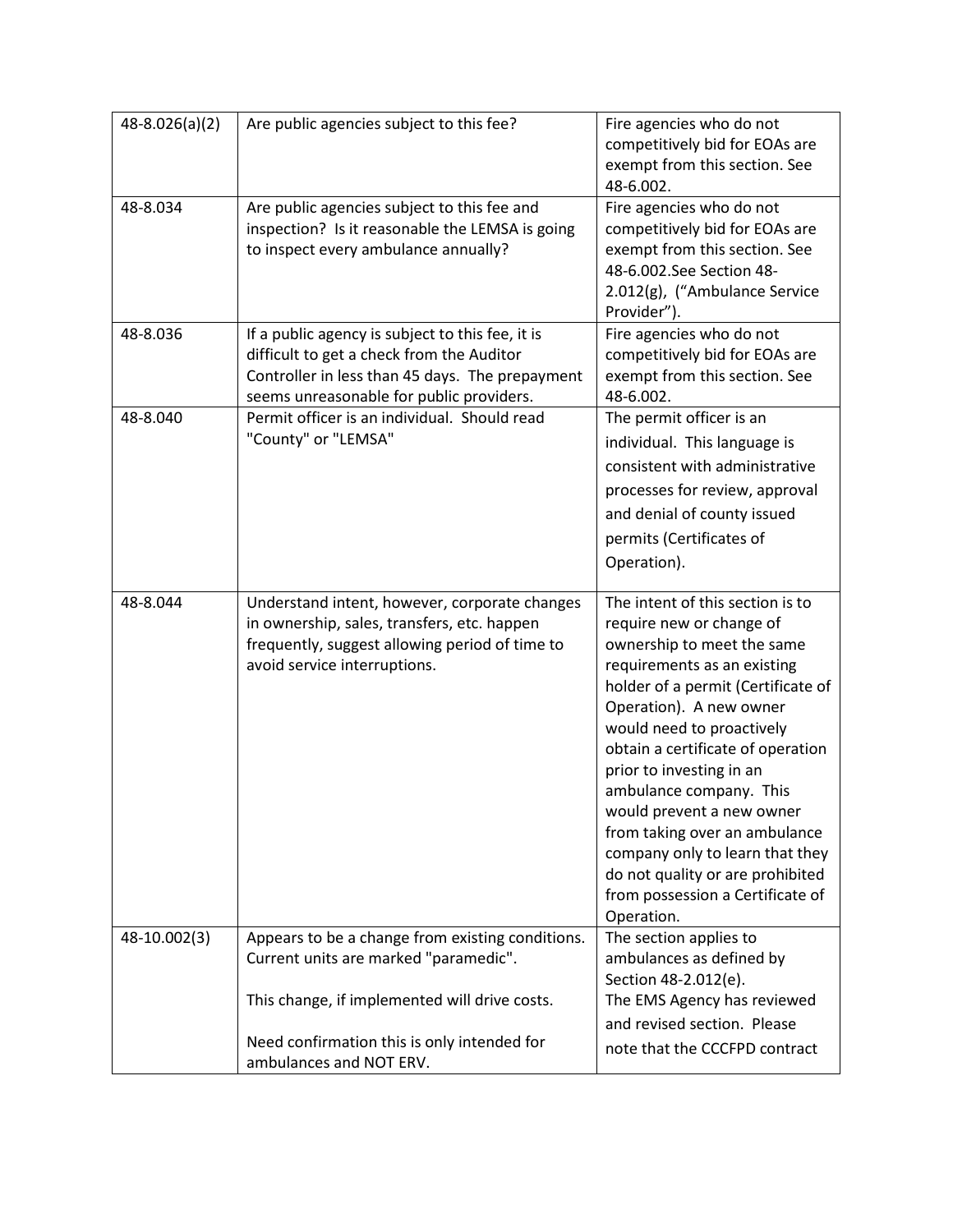| $48 - 8.026(a)(2)$ | Are public agencies subject to this fee?                                                                                                                                                     | Fire agencies who do not<br>competitively bid for EOAs are<br>exempt from this section. See<br>48-6.002.                                                                                                                                                                                                                                                                                                                                                               |
|--------------------|----------------------------------------------------------------------------------------------------------------------------------------------------------------------------------------------|------------------------------------------------------------------------------------------------------------------------------------------------------------------------------------------------------------------------------------------------------------------------------------------------------------------------------------------------------------------------------------------------------------------------------------------------------------------------|
| 48-8.034           | Are public agencies subject to this fee and<br>inspection? Is it reasonable the LEMSA is going<br>to inspect every ambulance annually?                                                       | Fire agencies who do not<br>competitively bid for EOAs are<br>exempt from this section. See<br>48-6.002.See Section 48-<br>2.012(g), ("Ambulance Service<br>Provider").                                                                                                                                                                                                                                                                                                |
| 48-8.036           | If a public agency is subject to this fee, it is<br>difficult to get a check from the Auditor<br>Controller in less than 45 days. The prepayment<br>seems unreasonable for public providers. | Fire agencies who do not<br>competitively bid for EOAs are<br>exempt from this section. See<br>48-6.002.                                                                                                                                                                                                                                                                                                                                                               |
| 48-8.040           | Permit officer is an individual. Should read<br>"County" or "LEMSA"                                                                                                                          | The permit officer is an<br>individual. This language is<br>consistent with administrative<br>processes for review, approval<br>and denial of county issued<br>permits (Certificates of<br>Operation).                                                                                                                                                                                                                                                                 |
| 48-8.044           | Understand intent, however, corporate changes                                                                                                                                                | The intent of this section is to                                                                                                                                                                                                                                                                                                                                                                                                                                       |
|                    | in ownership, sales, transfers, etc. happen<br>frequently, suggest allowing period of time to<br>avoid service interruptions.                                                                | require new or change of<br>ownership to meet the same<br>requirements as an existing<br>holder of a permit (Certificate of<br>Operation). A new owner<br>would need to proactively<br>obtain a certificate of operation<br>prior to investing in an<br>ambulance company. This<br>would prevent a new owner<br>from taking over an ambulance<br>company only to learn that they<br>do not quality or are prohibited<br>from possession a Certificate of<br>Operation. |
| 48-10.002(3)       | Appears to be a change from existing conditions.<br>Current units are marked "paramedic".<br>This change, if implemented will drive costs.                                                   | The section applies to<br>ambulances as defined by<br>Section 48-2.012(e).<br>The EMS Agency has reviewed                                                                                                                                                                                                                                                                                                                                                              |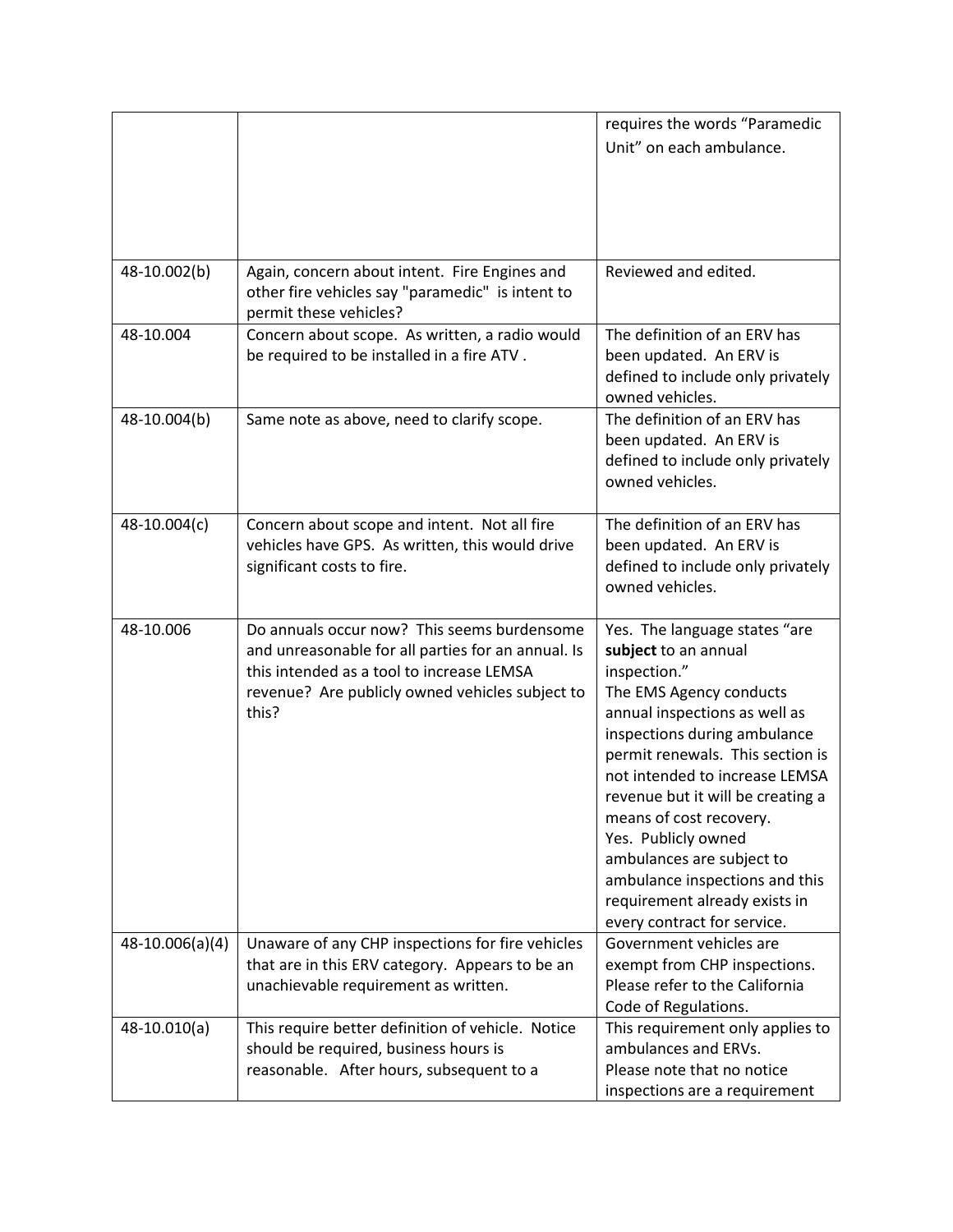|                 |                                                                                                                                                                                                            | requires the words "Paramedic                                                                                                                                                                                                                                                                                                                                                                                                                                 |
|-----------------|------------------------------------------------------------------------------------------------------------------------------------------------------------------------------------------------------------|---------------------------------------------------------------------------------------------------------------------------------------------------------------------------------------------------------------------------------------------------------------------------------------------------------------------------------------------------------------------------------------------------------------------------------------------------------------|
|                 |                                                                                                                                                                                                            | Unit" on each ambulance.                                                                                                                                                                                                                                                                                                                                                                                                                                      |
|                 |                                                                                                                                                                                                            |                                                                                                                                                                                                                                                                                                                                                                                                                                                               |
|                 |                                                                                                                                                                                                            |                                                                                                                                                                                                                                                                                                                                                                                                                                                               |
|                 |                                                                                                                                                                                                            |                                                                                                                                                                                                                                                                                                                                                                                                                                                               |
|                 |                                                                                                                                                                                                            |                                                                                                                                                                                                                                                                                                                                                                                                                                                               |
| 48-10.002(b)    | Again, concern about intent. Fire Engines and<br>other fire vehicles say "paramedic" is intent to<br>permit these vehicles?                                                                                | Reviewed and edited.                                                                                                                                                                                                                                                                                                                                                                                                                                          |
| 48-10.004       | Concern about scope. As written, a radio would<br>be required to be installed in a fire ATV.                                                                                                               | The definition of an ERV has<br>been updated. An ERV is<br>defined to include only privately<br>owned vehicles.                                                                                                                                                                                                                                                                                                                                               |
| 48-10.004(b)    | Same note as above, need to clarify scope.                                                                                                                                                                 | The definition of an ERV has<br>been updated. An ERV is<br>defined to include only privately<br>owned vehicles.                                                                                                                                                                                                                                                                                                                                               |
| 48-10.004(c)    | Concern about scope and intent. Not all fire<br>vehicles have GPS. As written, this would drive<br>significant costs to fire.                                                                              | The definition of an ERV has<br>been updated. An ERV is<br>defined to include only privately<br>owned vehicles.                                                                                                                                                                                                                                                                                                                                               |
| 48-10.006       | Do annuals occur now? This seems burdensome<br>and unreasonable for all parties for an annual. Is<br>this intended as a tool to increase LEMSA<br>revenue? Are publicly owned vehicles subject to<br>this? | Yes. The language states "are<br>subject to an annual<br>inspection."<br>The EMS Agency conducts<br>annual inspections as well as<br>inspections during ambulance<br>permit renewals. This section is<br>not intended to increase LEMSA<br>revenue but it will be creating a<br>means of cost recovery.<br>Yes. Publicly owned<br>ambulances are subject to<br>ambulance inspections and this<br>requirement already exists in<br>every contract for service. |
| 48-10.006(a)(4) | Unaware of any CHP inspections for fire vehicles<br>that are in this ERV category. Appears to be an<br>unachievable requirement as written.                                                                | Government vehicles are<br>exempt from CHP inspections.<br>Please refer to the California<br>Code of Regulations.                                                                                                                                                                                                                                                                                                                                             |
| $48-10.010(a)$  | This require better definition of vehicle. Notice<br>should be required, business hours is<br>reasonable. After hours, subsequent to a                                                                     | This requirement only applies to<br>ambulances and ERVs.<br>Please note that no notice<br>inspections are a requirement                                                                                                                                                                                                                                                                                                                                       |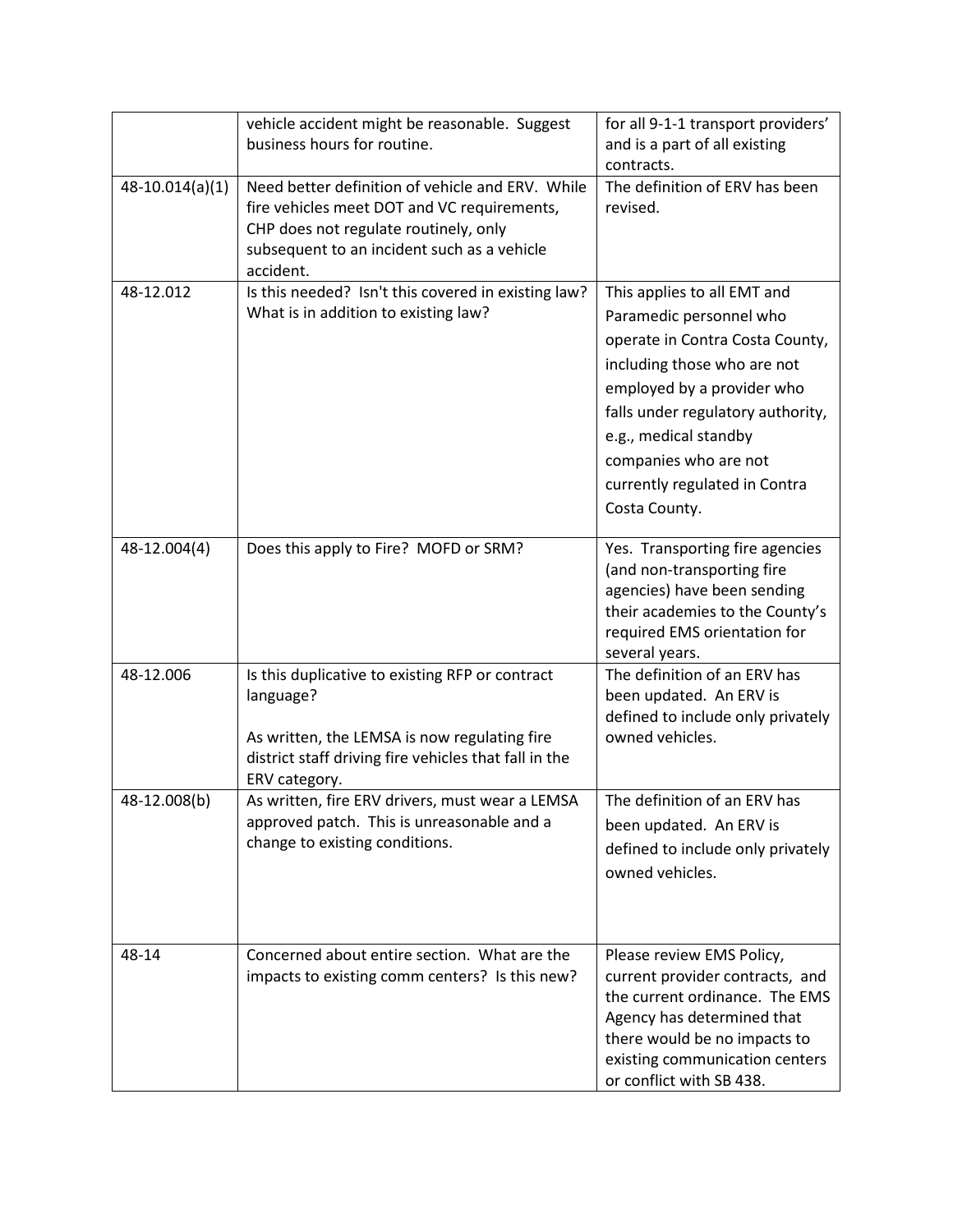|                   | vehicle accident might be reasonable. Suggest<br>business hours for routine.                                                                                                                         | for all 9-1-1 transport providers'<br>and is a part of all existing<br>contracts.                                                                                                                                                                                                               |
|-------------------|------------------------------------------------------------------------------------------------------------------------------------------------------------------------------------------------------|-------------------------------------------------------------------------------------------------------------------------------------------------------------------------------------------------------------------------------------------------------------------------------------------------|
| $48-10.014(a)(1)$ | Need better definition of vehicle and ERV. While<br>fire vehicles meet DOT and VC requirements,<br>CHP does not regulate routinely, only<br>subsequent to an incident such as a vehicle<br>accident. | The definition of ERV has been<br>revised.                                                                                                                                                                                                                                                      |
| 48-12.012         | Is this needed? Isn't this covered in existing law?<br>What is in addition to existing law?                                                                                                          | This applies to all EMT and<br>Paramedic personnel who<br>operate in Contra Costa County,<br>including those who are not<br>employed by a provider who<br>falls under regulatory authority,<br>e.g., medical standby<br>companies who are not<br>currently regulated in Contra<br>Costa County. |
| 48-12.004(4)      | Does this apply to Fire? MOFD or SRM?                                                                                                                                                                | Yes. Transporting fire agencies<br>(and non-transporting fire<br>agencies) have been sending<br>their academies to the County's<br>required EMS orientation for<br>several years.                                                                                                               |
| 48-12.006         | Is this duplicative to existing RFP or contract<br>language?<br>As written, the LEMSA is now regulating fire<br>district staff driving fire vehicles that fall in the<br>ERV category.               | The definition of an ERV has<br>been updated. An ERV is<br>defined to include only privately<br>owned vehicles.                                                                                                                                                                                 |
| 48-12.008(b)      | As written, fire ERV drivers, must wear a LEMSA<br>approved patch. This is unreasonable and a<br>change to existing conditions.                                                                      | The definition of an ERV has<br>been updated. An ERV is<br>defined to include only privately<br>owned vehicles.                                                                                                                                                                                 |
| 48-14             | Concerned about entire section. What are the<br>impacts to existing comm centers? Is this new?                                                                                                       | Please review EMS Policy,<br>current provider contracts, and<br>the current ordinance. The EMS<br>Agency has determined that<br>there would be no impacts to<br>existing communication centers<br>or conflict with SB 438.                                                                      |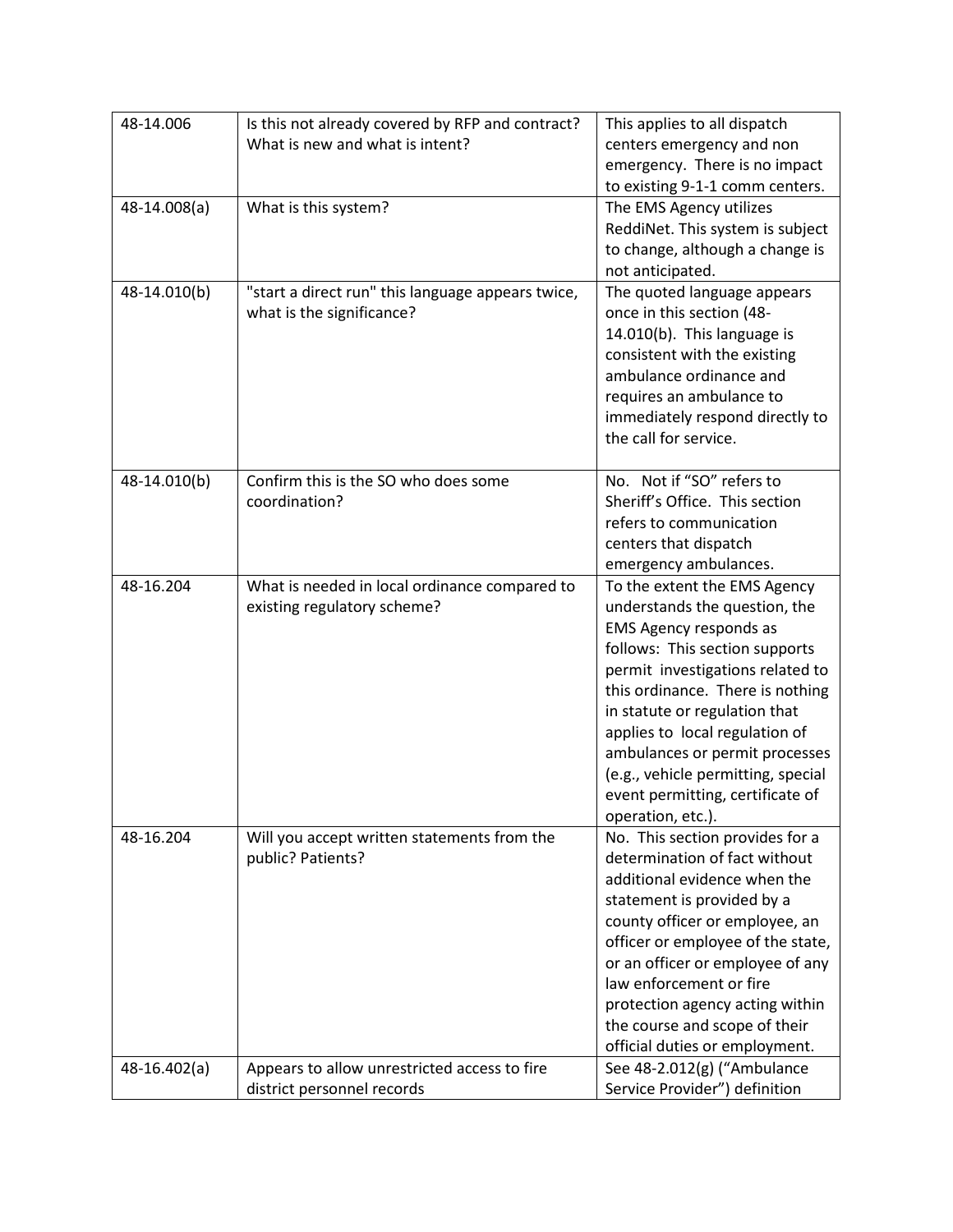| 48-14.006    | Is this not already covered by RFP and contract?  | This applies to all dispatch       |
|--------------|---------------------------------------------------|------------------------------------|
|              | What is new and what is intent?                   | centers emergency and non          |
|              |                                                   | emergency. There is no impact      |
|              |                                                   | to existing 9-1-1 comm centers.    |
| 48-14.008(a) | What is this system?                              | The EMS Agency utilizes            |
|              |                                                   | ReddiNet. This system is subject   |
|              |                                                   | to change, although a change is    |
|              |                                                   | not anticipated.                   |
| 48-14.010(b) | "start a direct run" this language appears twice, | The quoted language appears        |
|              | what is the significance?                         | once in this section (48-          |
|              |                                                   | 14.010(b). This language is        |
|              |                                                   | consistent with the existing       |
|              |                                                   | ambulance ordinance and            |
|              |                                                   | requires an ambulance to           |
|              |                                                   | immediately respond directly to    |
|              |                                                   | the call for service.              |
|              |                                                   |                                    |
| 48-14.010(b) | Confirm this is the SO who does some              | No. Not if "SO" refers to          |
|              | coordination?                                     | Sheriff's Office. This section     |
|              |                                                   | refers to communication            |
|              |                                                   | centers that dispatch              |
|              |                                                   | emergency ambulances.              |
| 48-16.204    | What is needed in local ordinance compared to     | To the extent the EMS Agency       |
|              | existing regulatory scheme?                       | understands the question, the      |
|              |                                                   | EMS Agency responds as             |
|              |                                                   | follows: This section supports     |
|              |                                                   | permit investigations related to   |
|              |                                                   | this ordinance. There is nothing   |
|              |                                                   | in statute or regulation that      |
|              |                                                   | applies to local regulation of     |
|              |                                                   | ambulances or permit processes     |
|              |                                                   | (e.g., vehicle permitting, special |
|              |                                                   | event permitting, certificate of   |
|              |                                                   | operation, etc.).                  |
| 48-16.204    | Will you accept written statements from the       | No. This section provides for a    |
|              | public? Patients?                                 | determination of fact without      |
|              |                                                   | additional evidence when the       |
|              |                                                   | statement is provided by a         |
|              |                                                   | county officer or employee, an     |
|              |                                                   | officer or employee of the state,  |
|              |                                                   | or an officer or employee of any   |
|              |                                                   | law enforcement or fire            |
|              |                                                   | protection agency acting within    |
|              |                                                   | the course and scope of their      |
|              |                                                   | official duties or employment.     |
| 48-16.402(a) | Appears to allow unrestricted access to fire      | See 48-2.012(g) ("Ambulance        |
|              | district personnel records                        | Service Provider") definition      |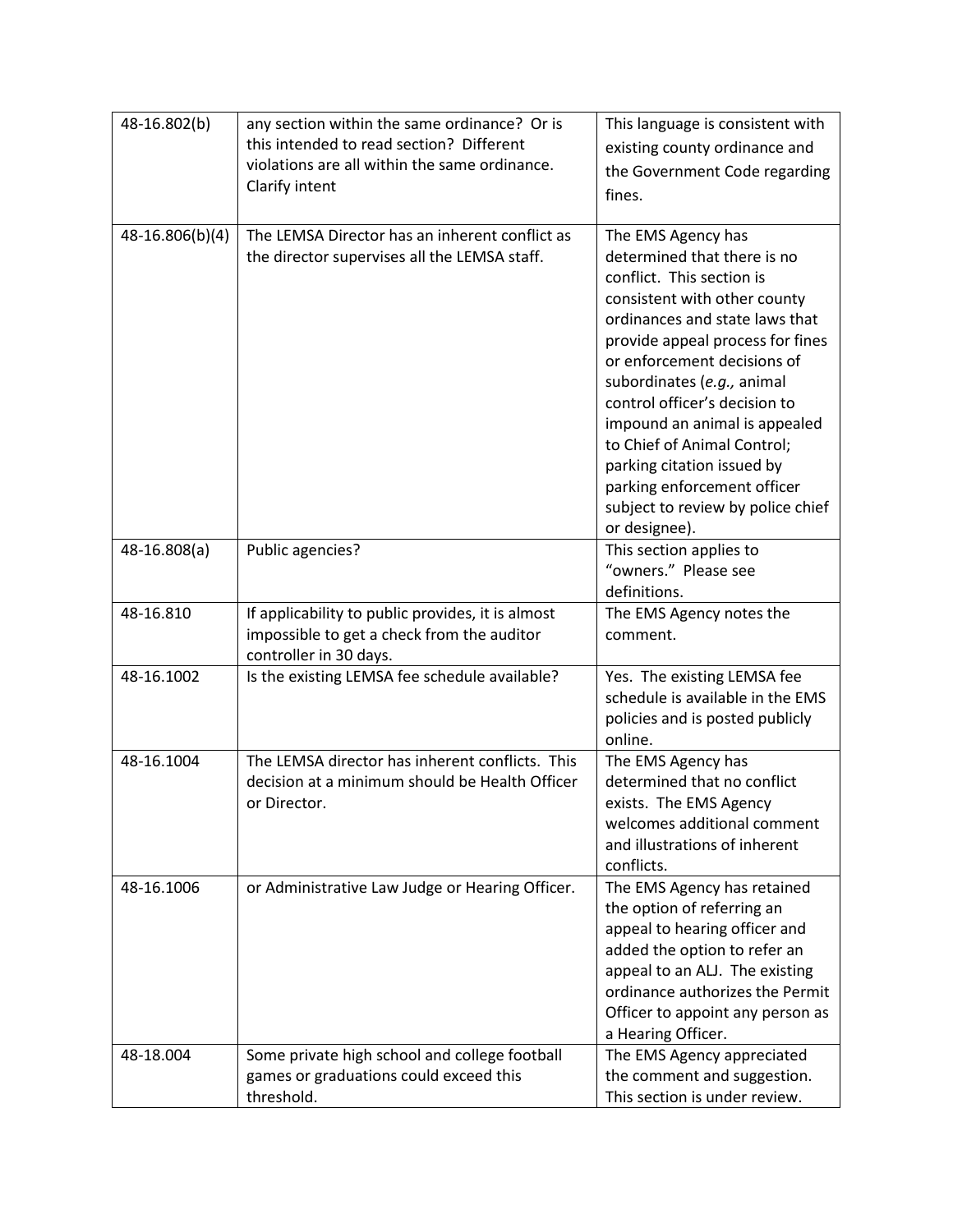| 48-16.802(b)    | any section within the same ordinance? Or is<br>this intended to read section? Different<br>violations are all within the same ordinance.<br>Clarify intent | This language is consistent with<br>existing county ordinance and<br>the Government Code regarding<br>fines.                                                                                                                                                                                                                                                                                                                                                          |
|-----------------|-------------------------------------------------------------------------------------------------------------------------------------------------------------|-----------------------------------------------------------------------------------------------------------------------------------------------------------------------------------------------------------------------------------------------------------------------------------------------------------------------------------------------------------------------------------------------------------------------------------------------------------------------|
| 48-16.806(b)(4) | The LEMSA Director has an inherent conflict as<br>the director supervises all the LEMSA staff.                                                              | The EMS Agency has<br>determined that there is no<br>conflict. This section is<br>consistent with other county<br>ordinances and state laws that<br>provide appeal process for fines<br>or enforcement decisions of<br>subordinates (e.g., animal<br>control officer's decision to<br>impound an animal is appealed<br>to Chief of Animal Control;<br>parking citation issued by<br>parking enforcement officer<br>subject to review by police chief<br>or designee). |
| 48-16.808(a)    | Public agencies?                                                                                                                                            | This section applies to<br>"owners." Please see<br>definitions.                                                                                                                                                                                                                                                                                                                                                                                                       |
| 48-16.810       | If applicability to public provides, it is almost<br>impossible to get a check from the auditor<br>controller in 30 days.                                   | The EMS Agency notes the<br>comment.                                                                                                                                                                                                                                                                                                                                                                                                                                  |
| 48-16.1002      | Is the existing LEMSA fee schedule available?                                                                                                               | Yes. The existing LEMSA fee<br>schedule is available in the EMS<br>policies and is posted publicly<br>online.                                                                                                                                                                                                                                                                                                                                                         |
| 48-16.1004      | The LEMSA director has inherent conflicts. This<br>decision at a minimum should be Health Officer<br>or Director.                                           | The EMS Agency has<br>determined that no conflict<br>exists. The EMS Agency<br>welcomes additional comment<br>and illustrations of inherent<br>conflicts.                                                                                                                                                                                                                                                                                                             |
| 48-16.1006      | or Administrative Law Judge or Hearing Officer.                                                                                                             | The EMS Agency has retained<br>the option of referring an<br>appeal to hearing officer and<br>added the option to refer an<br>appeal to an ALJ. The existing<br>ordinance authorizes the Permit<br>Officer to appoint any person as<br>a Hearing Officer.                                                                                                                                                                                                             |
| 48-18.004       | Some private high school and college football<br>games or graduations could exceed this<br>threshold.                                                       | The EMS Agency appreciated<br>the comment and suggestion.<br>This section is under review.                                                                                                                                                                                                                                                                                                                                                                            |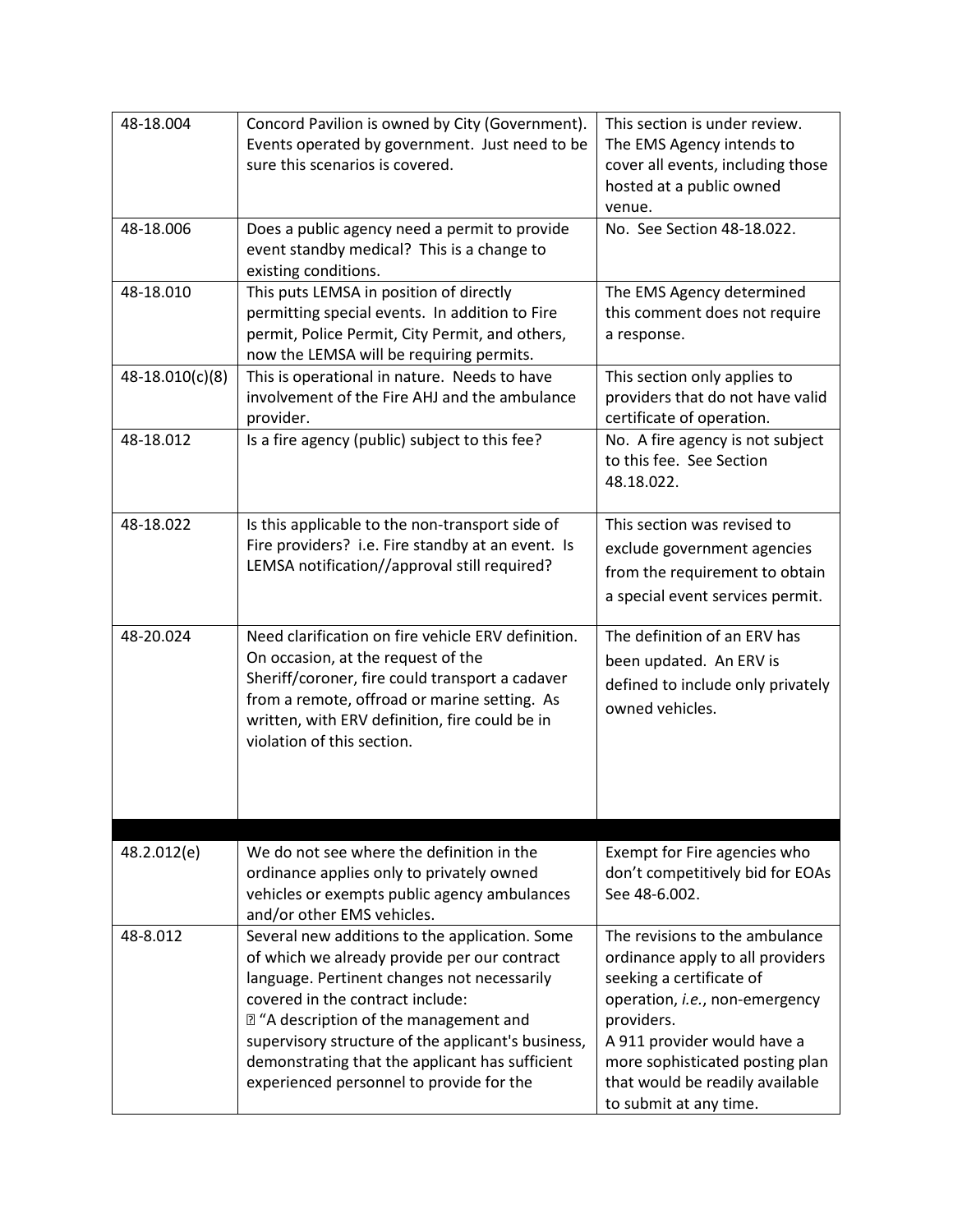| 48-18.004       | Concord Pavilion is owned by City (Government).<br>Events operated by government. Just need to be<br>sure this scenarios is covered.                                                                                                                                                                                                                                              | This section is under review.<br>The EMS Agency intends to<br>cover all events, including those<br>hosted at a public owned<br>venue.                                                                                                                                         |
|-----------------|-----------------------------------------------------------------------------------------------------------------------------------------------------------------------------------------------------------------------------------------------------------------------------------------------------------------------------------------------------------------------------------|-------------------------------------------------------------------------------------------------------------------------------------------------------------------------------------------------------------------------------------------------------------------------------|
| 48-18.006       | Does a public agency need a permit to provide<br>event standby medical? This is a change to<br>existing conditions.                                                                                                                                                                                                                                                               | No. See Section 48-18.022.                                                                                                                                                                                                                                                    |
| 48-18.010       | This puts LEMSA in position of directly<br>permitting special events. In addition to Fire<br>permit, Police Permit, City Permit, and others,<br>now the LEMSA will be requiring permits.                                                                                                                                                                                          | The EMS Agency determined<br>this comment does not require<br>a response.                                                                                                                                                                                                     |
| 48-18.010(c)(8) | This is operational in nature. Needs to have<br>involvement of the Fire AHJ and the ambulance<br>provider.                                                                                                                                                                                                                                                                        | This section only applies to<br>providers that do not have valid<br>certificate of operation.                                                                                                                                                                                 |
| 48-18.012       | Is a fire agency (public) subject to this fee?                                                                                                                                                                                                                                                                                                                                    | No. A fire agency is not subject<br>to this fee. See Section<br>48.18.022.                                                                                                                                                                                                    |
| 48-18.022       | Is this applicable to the non-transport side of<br>Fire providers? i.e. Fire standby at an event. Is<br>LEMSA notification//approval still required?                                                                                                                                                                                                                              | This section was revised to<br>exclude government agencies<br>from the requirement to obtain<br>a special event services permit.                                                                                                                                              |
| 48-20.024       | Need clarification on fire vehicle ERV definition.<br>On occasion, at the request of the<br>Sheriff/coroner, fire could transport a cadaver<br>from a remote, offroad or marine setting. As<br>written, with ERV definition, fire could be in<br>violation of this section.                                                                                                       | The definition of an ERV has<br>been updated. An ERV is<br>defined to include only privately<br>owned vehicles.                                                                                                                                                               |
|                 |                                                                                                                                                                                                                                                                                                                                                                                   |                                                                                                                                                                                                                                                                               |
| 48.2.012(e)     | We do not see where the definition in the<br>ordinance applies only to privately owned<br>vehicles or exempts public agency ambulances<br>and/or other EMS vehicles.                                                                                                                                                                                                              | Exempt for Fire agencies who<br>don't competitively bid for EOAs<br>See 48-6.002.                                                                                                                                                                                             |
| 48-8.012        | Several new additions to the application. Some<br>of which we already provide per our contract<br>language. Pertinent changes not necessarily<br>covered in the contract include:<br>72 "A description of the management and<br>supervisory structure of the applicant's business,<br>demonstrating that the applicant has sufficient<br>experienced personnel to provide for the | The revisions to the ambulance<br>ordinance apply to all providers<br>seeking a certificate of<br>operation, i.e., non-emergency<br>providers.<br>A 911 provider would have a<br>more sophisticated posting plan<br>that would be readily available<br>to submit at any time. |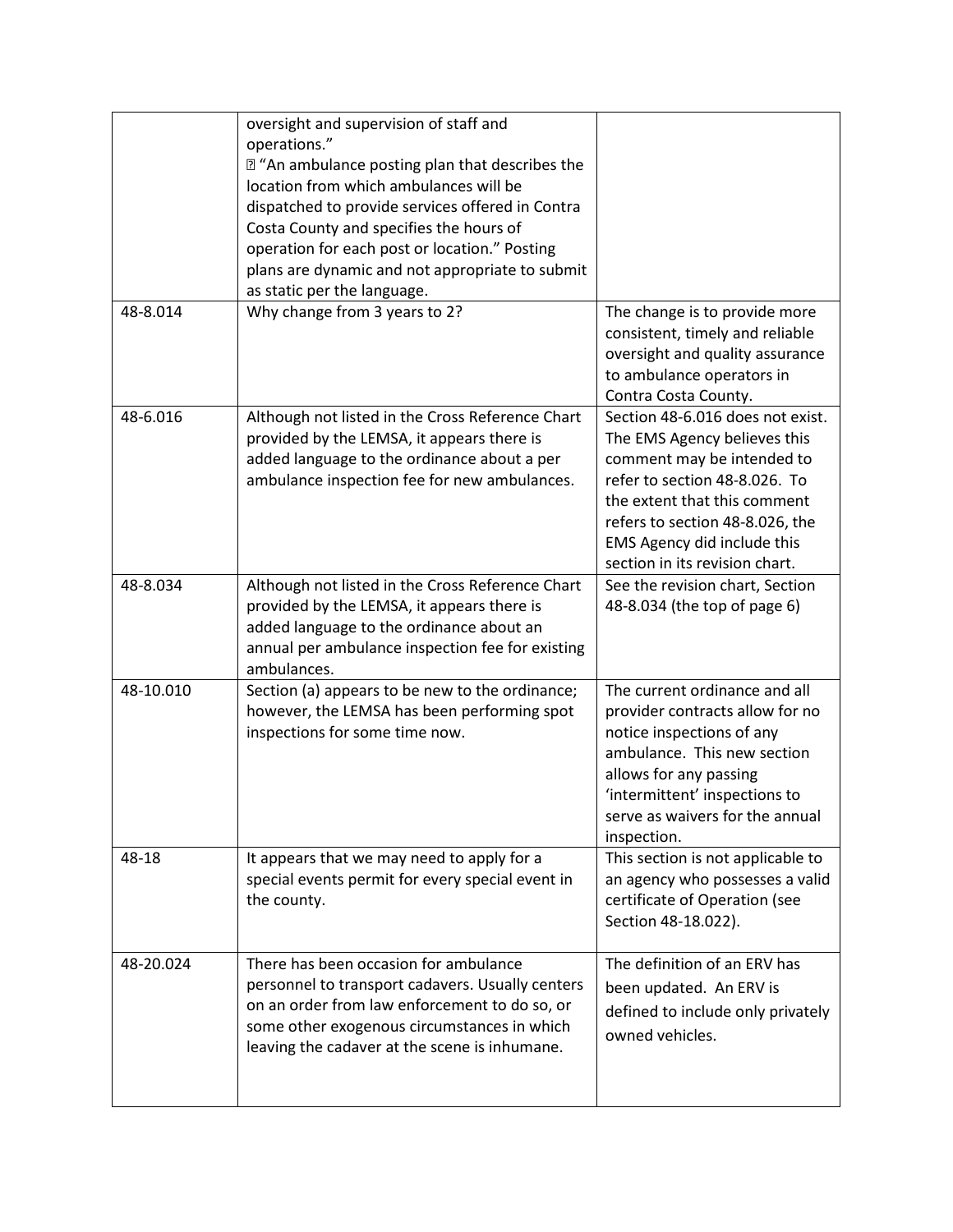|           | oversight and supervision of staff and<br>operations."<br>sqrt "An ambulance posting plan that describes the<br>location from which ambulances will be<br>dispatched to provide services offered in Contra<br>Costa County and specifies the hours of<br>operation for each post or location." Posting<br>plans are dynamic and not appropriate to submit<br>as static per the language. |                                                                                                                                                                                                                                                                     |
|-----------|------------------------------------------------------------------------------------------------------------------------------------------------------------------------------------------------------------------------------------------------------------------------------------------------------------------------------------------------------------------------------------------|---------------------------------------------------------------------------------------------------------------------------------------------------------------------------------------------------------------------------------------------------------------------|
| 48-8.014  | Why change from 3 years to 2?                                                                                                                                                                                                                                                                                                                                                            | The change is to provide more<br>consistent, timely and reliable<br>oversight and quality assurance<br>to ambulance operators in<br>Contra Costa County.                                                                                                            |
| 48-6.016  | Although not listed in the Cross Reference Chart<br>provided by the LEMSA, it appears there is<br>added language to the ordinance about a per<br>ambulance inspection fee for new ambulances.                                                                                                                                                                                            | Section 48-6.016 does not exist.<br>The EMS Agency believes this<br>comment may be intended to<br>refer to section 48-8.026. To<br>the extent that this comment<br>refers to section 48-8.026, the<br>EMS Agency did include this<br>section in its revision chart. |
| 48-8.034  | Although not listed in the Cross Reference Chart<br>provided by the LEMSA, it appears there is<br>added language to the ordinance about an<br>annual per ambulance inspection fee for existing<br>ambulances.                                                                                                                                                                            | See the revision chart, Section<br>48-8.034 (the top of page 6)                                                                                                                                                                                                     |
| 48-10.010 | Section (a) appears to be new to the ordinance;<br>however, the LEMSA has been performing spot<br>inspections for some time now.                                                                                                                                                                                                                                                         | The current ordinance and all<br>provider contracts allow for no<br>notice inspections of any<br>ambulance. This new section<br>allows for any passing<br>'intermittent' inspections to<br>serve as waivers for the annual<br>inspection.                           |
| 48-18     | It appears that we may need to apply for a<br>special events permit for every special event in<br>the county.                                                                                                                                                                                                                                                                            | This section is not applicable to<br>an agency who possesses a valid<br>certificate of Operation (see<br>Section 48-18.022).                                                                                                                                        |
| 48-20.024 | There has been occasion for ambulance<br>personnel to transport cadavers. Usually centers<br>on an order from law enforcement to do so, or<br>some other exogenous circumstances in which<br>leaving the cadaver at the scene is inhumane.                                                                                                                                               | The definition of an ERV has<br>been updated. An ERV is<br>defined to include only privately<br>owned vehicles.                                                                                                                                                     |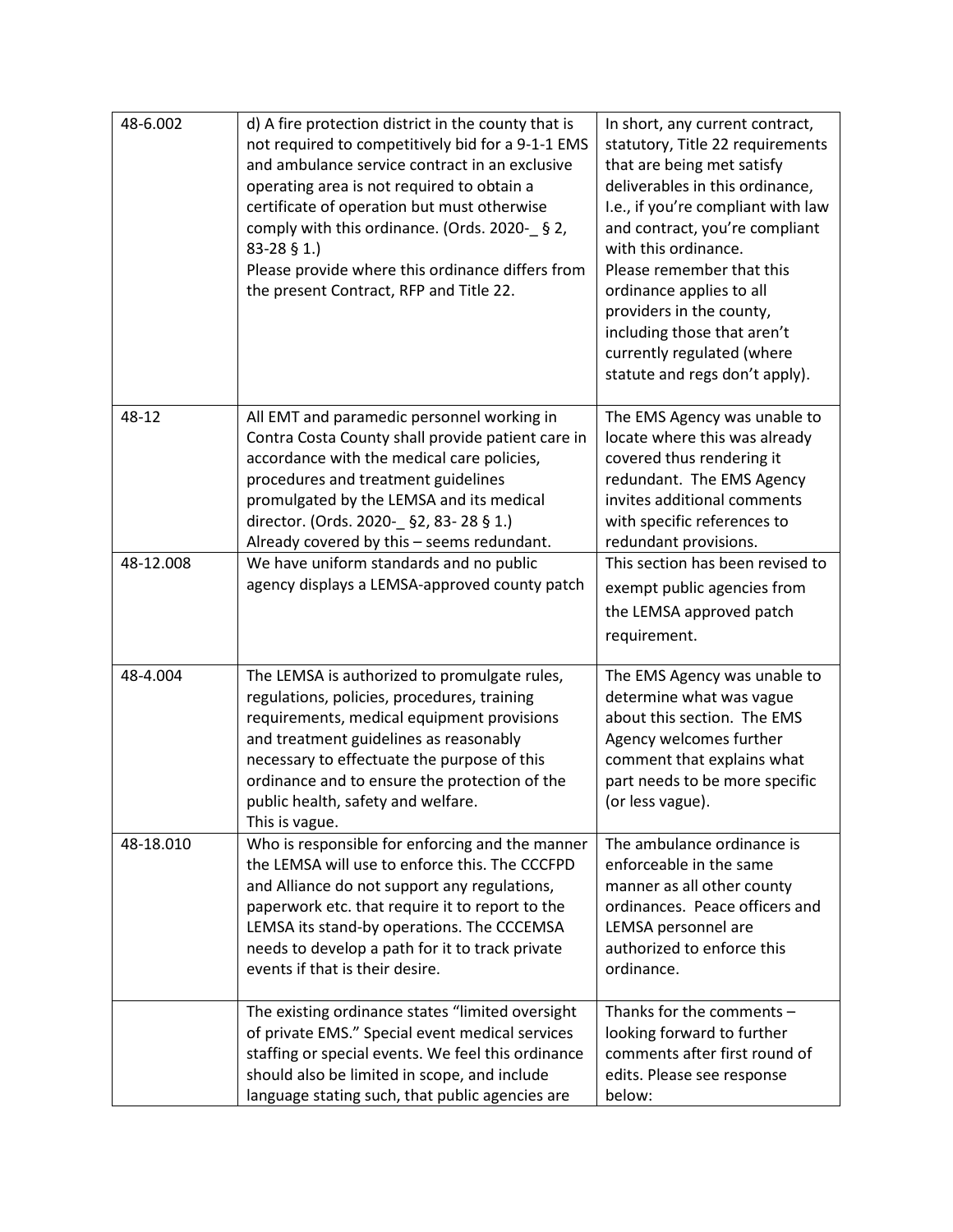| 48-6.002  | d) A fire protection district in the county that is<br>not required to competitively bid for a 9-1-1 EMS<br>and ambulance service contract in an exclusive<br>operating area is not required to obtain a<br>certificate of operation but must otherwise<br>comply with this ordinance. (Ords. 2020- § 2,<br>83-28 § 1.)<br>Please provide where this ordinance differs from<br>the present Contract, RFP and Title 22. | In short, any current contract,<br>statutory, Title 22 requirements<br>that are being met satisfy<br>deliverables in this ordinance,<br>I.e., if you're compliant with law<br>and contract, you're compliant<br>with this ordinance.<br>Please remember that this<br>ordinance applies to all<br>providers in the county,<br>including those that aren't<br>currently regulated (where<br>statute and regs don't apply). |
|-----------|------------------------------------------------------------------------------------------------------------------------------------------------------------------------------------------------------------------------------------------------------------------------------------------------------------------------------------------------------------------------------------------------------------------------|--------------------------------------------------------------------------------------------------------------------------------------------------------------------------------------------------------------------------------------------------------------------------------------------------------------------------------------------------------------------------------------------------------------------------|
| 48-12     | All EMT and paramedic personnel working in<br>Contra Costa County shall provide patient care in<br>accordance with the medical care policies,<br>procedures and treatment guidelines<br>promulgated by the LEMSA and its medical<br>director. (Ords. 2020- §2, 83-28 § 1.)<br>Already covered by this - seems redundant.                                                                                               | The EMS Agency was unable to<br>locate where this was already<br>covered thus rendering it<br>redundant. The EMS Agency<br>invites additional comments<br>with specific references to<br>redundant provisions.                                                                                                                                                                                                           |
| 48-12.008 | We have uniform standards and no public<br>agency displays a LEMSA-approved county patch                                                                                                                                                                                                                                                                                                                               | This section has been revised to<br>exempt public agencies from<br>the LEMSA approved patch<br>requirement.                                                                                                                                                                                                                                                                                                              |
| 48-4.004  | The LEMSA is authorized to promulgate rules,<br>regulations, policies, procedures, training<br>requirements, medical equipment provisions<br>and treatment guidelines as reasonably<br>necessary to effectuate the purpose of this<br>ordinance and to ensure the protection of the<br>public health, safety and welfare.<br>This is vague.                                                                            | The EMS Agency was unable to<br>determine what was vague<br>about this section. The EMS<br>Agency welcomes further<br>comment that explains what<br>part needs to be more specific<br>(or less vague).                                                                                                                                                                                                                   |
| 48-18.010 | Who is responsible for enforcing and the manner<br>the LEMSA will use to enforce this. The CCCFPD<br>and Alliance do not support any regulations,<br>paperwork etc. that require it to report to the<br>LEMSA its stand-by operations. The CCCEMSA<br>needs to develop a path for it to track private<br>events if that is their desire.                                                                               | The ambulance ordinance is<br>enforceable in the same<br>manner as all other county<br>ordinances. Peace officers and<br>LEMSA personnel are<br>authorized to enforce this<br>ordinance.                                                                                                                                                                                                                                 |
|           | The existing ordinance states "limited oversight<br>of private EMS." Special event medical services<br>staffing or special events. We feel this ordinance<br>should also be limited in scope, and include<br>language stating such, that public agencies are                                                                                                                                                           | Thanks for the comments $-$<br>looking forward to further<br>comments after first round of<br>edits. Please see response<br>below:                                                                                                                                                                                                                                                                                       |